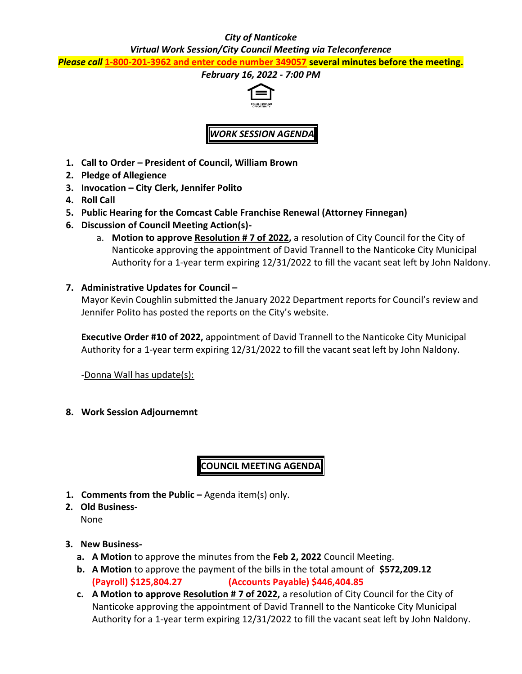### *City of Nanticoke*

*Virtual Work Session/City Council Meeting via Teleconference*

*Please call* **1-800-201-3962 and enter code number 349057 several minutes before the meeting.**

#### *February 16, 2022 - 7:00 PM*



# *WORK SESSION AGENDA*

- **1. Call to Order – President of Council, William Brown**
- **2. Pledge of Allegience**
- **3. Invocation – City Clerk, Jennifer Polito**
- **4. Roll Call**
- **5. Public Hearing for the Comcast Cable Franchise Renewal (Attorney Finnegan)**
- **6. Discussion of Council Meeting Action(s)**
	- a. **Motion to approve Resolution # 7 of 2022,** a resolution of City Council for the City of Nanticoke approving the appointment of David Trannell to the Nanticoke City Municipal Authority for a 1-year term expiring 12/31/2022 to fill the vacant seat left by John Naldony.
- **7. Administrative Updates for Council –**

Mayor Kevin Coughlin submitted the January 2022 Department reports for Council's review and Jennifer Polito has posted the reports on the City's website.

**Executive Order #10 of 2022,** appointment of David Trannell to the Nanticoke City Municipal Authority for a 1-year term expiring 12/31/2022 to fill the vacant seat left by John Naldony.

-Donna Wall has update(s):

**8. Work Session Adjournemnt**

**COUNCIL MEETING AGENDA**

- **1. Comments from the Public –** Agenda item(s) only.
- **2. Old Business-**None
- **3. New Business**
	- **a. A Motion** to approve the minutes from the **Feb 2, 2022** Council Meeting.
	- **b. A Motion** to approve the payment of the bills in the total amount of **\$572,209.12 (Payroll) \$125,804.27 (Accounts Payable) \$446,404.85**
	- **c. A Motion to approve Resolution # 7 of 2022,** a resolution of City Council for the City of Nanticoke approving the appointment of David Trannell to the Nanticoke City Municipal Authority for a 1-year term expiring 12/31/2022 to fill the vacant seat left by John Naldony.